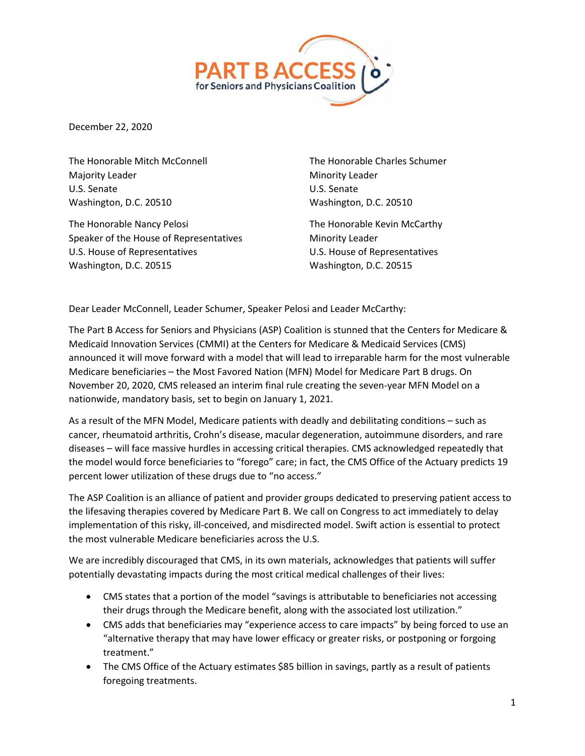

December 22, 2020

The Honorable Mitch McConnell Majority Leader U.S. Senate Washington, D.C. 20510

The Honorable Nancy Pelosi Speaker of the House of Representatives U.S. House of Representatives Washington, D.C. 20515

The Honorable Charles Schumer Minority Leader U.S. Senate Washington, D.C. 20510

The Honorable Kevin McCarthy Minority Leader U.S. House of Representatives Washington, D.C. 20515

Dear Leader McConnell, Leader Schumer, Speaker Pelosi and Leader McCarthy:

The Part B Access for Seniors and Physicians (ASP) Coalition is stunned that the Centers for Medicare & Medicaid Innovation Services (CMMI) at the Centers for Medicare & Medicaid Services (CMS) announced it will move forward with a model that will lead to irreparable harm for the most vulnerable Medicare beneficiaries – the Most Favored Nation (MFN) Model for Medicare Part B drugs. On November 20, 2020, CMS released an interim final rule creating the seven-year MFN Model on a nationwide, mandatory basis, set to begin on January 1, 2021.

As a result of the MFN Model, Medicare patients with deadly and debilitating conditions – such as cancer, rheumatoid arthritis, Crohn's disease, macular degeneration, autoimmune disorders, and rare diseases – will face massive hurdles in accessing critical therapies. CMS acknowledged repeatedly that the model would force beneficiaries to "forego" care; in fact, the CMS Office of the Actuary predicts 19 percent lower utilization of these drugs due to "no access."

The ASP Coalition is an alliance of patient and provider groups dedicated to preserving patient access to the lifesaving therapies covered by Medicare Part B. We call on Congress to act immediately to delay implementation of this risky, ill-conceived, and misdirected model. Swift action is essential to protect the most vulnerable Medicare beneficiaries across the U.S.

We are incredibly discouraged that CMS, in its own materials, acknowledges that patients will suffer potentially devastating impacts during the most critical medical challenges of their lives:

- CMS states that a portion of the model "savings is attributable to beneficiaries not accessing their drugs through the Medicare benefit, along with the associated lost utilization."
- CMS adds that beneficiaries may "experience access to care impacts" by being forced to use an "alternative therapy that may have lower efficacy or greater risks, or postponing or forgoing treatment."
- The CMS Office of the Actuary estimates \$85 billion in savings, partly as a result of patients foregoing treatments.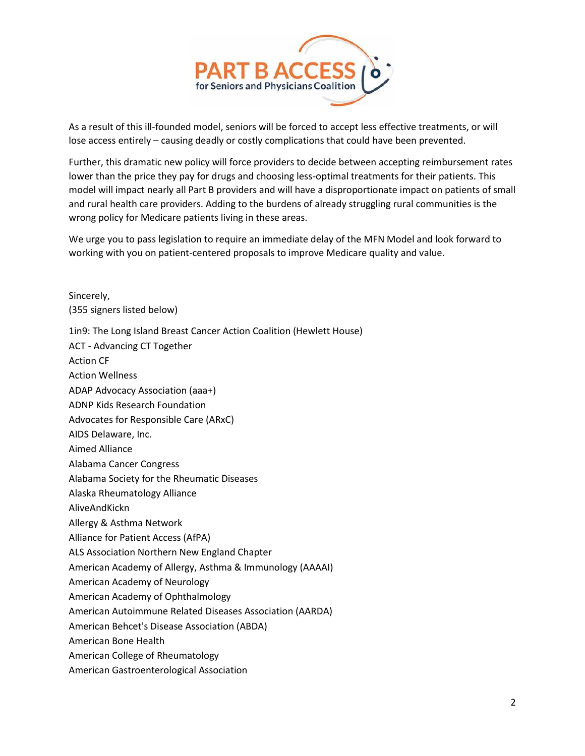

As a result of this ill-founded model, seniors will be forced to accept less effective treatments, or will lose access entirely – causing deadly or costly complications that could have been prevented.

Further, this dramatic new policy will force providers to decide between accepting reimbursement rates lower than the price they pay for drugs and choosing less-optimal treatments for their patients. This model will impact nearly all Part B providers and will have a disproportionate impact on patients of small and rural health care providers. Adding to the burdens of already struggling rural communities is the wrong policy for Medicare patients living in these areas.

We urge you to pass legislation to require an immediate delay of the MFN Model and look forward to working with you on patient-centered proposals to improve Medicare quality and value.

Sincerely, (355 signers listed below)

1in9: The Long Island Breast Cancer Action Coalition (Hewlett House)

ACT - Advancing CT Together Action CF Action Wellness ADAP Advocacy Association (aaa+) ADNP Kids Research Foundation Advocates for Responsible Care (ARxC) AIDS Delaware, Inc. Aimed Alliance Alabama Cancer Congress Alabama Society for the Rheumatic Diseases Alaska Rheumatology Alliance AliveAndKickn Allergy & Asthma Network Alliance for Patient Access (AfPA) ALS Association Northern New England Chapter American Academy of Allergy, Asthma & Immunology (AAAAI) American Academy of Neurology American Academy of Ophthalmology American Autoimmune Related Diseases Association (AARDA) American Behcet's Disease Association (ABDA) American Bone Health American College of Rheumatology American Gastroenterological Association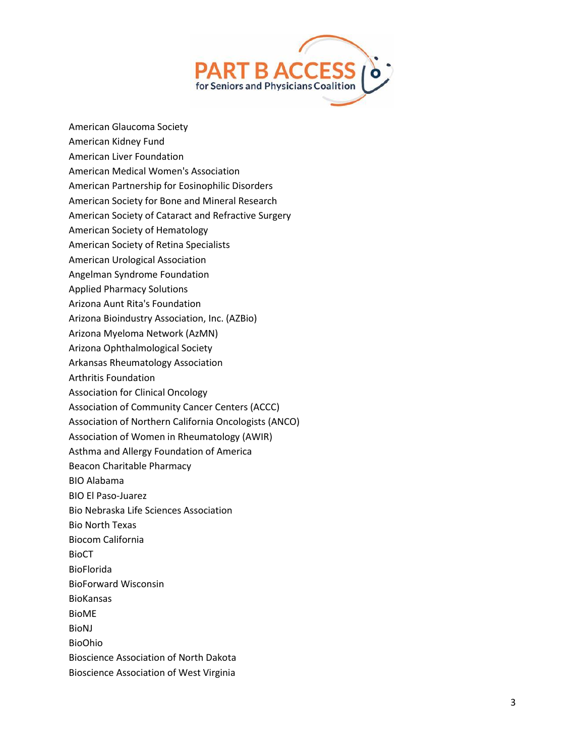

- American Glaucoma Society
- American Kidney Fund
- American Liver Foundation
- American Medical Women's Association
- American Partnership for Eosinophilic Disorders
- American Society for Bone and Mineral Research
- American Society of Cataract and Refractive Surgery
- American Society of Hematology
- American Society of Retina Specialists
- American Urological Association
- Angelman Syndrome Foundation
- Applied Pharmacy Solutions
- Arizona Aunt Rita's Foundation
- Arizona Bioindustry Association, Inc. (AZBio)
- Arizona Myeloma Network (AzMN)
- Arizona Ophthalmological Society
- Arkansas Rheumatology Association
- Arthritis Foundation
- Association for Clinical Oncology
- Association of Community Cancer Centers (ACCC)
- Association of Northern California Oncologists (ANCO)
- Association of Women in Rheumatology (AWIR)
- Asthma and Allergy Foundation of America
- Beacon Charitable Pharmacy
- BIO Alabama
- BIO El Paso -Juarez
- Bio Nebraska Life Sciences Association
- Bio North Texas
- Biocom California
- BioCT
- BioFlorida
- BioForward Wisconsin
- BioKansas
- BioME
- BioNJ
- BioOhio
- Bioscience Association of North Dakota
- Bioscience Association of West Virginia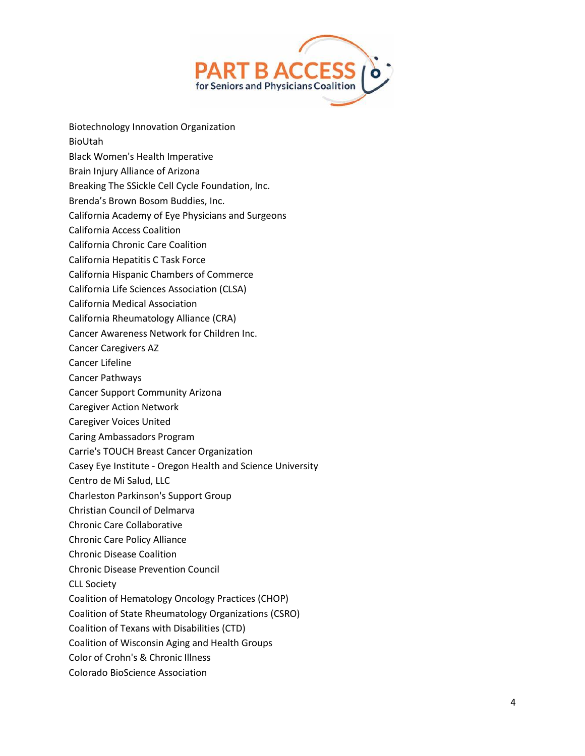

- Biotechnology Innovation Organization
- BioUtah
- Black Women's Health Imperative
- Brain Injury Alliance of Arizona
- Breaking The SSickle Cell Cycle Foundation, Inc.
- Brenda's Brown Bosom Buddies, Inc.
- California Academy of Eye Physicians and Surgeons
- California Access Coalition
- California Chronic Care Coalition
- California Hepatitis C Task Force
- California Hispanic Chambers of Commerce
- California Life Sciences Association (CLSA)
- California Medical Association
- California Rheumatology Alliance (CRA)
- Cancer Awareness Network for Children Inc.
- Cancer Caregivers AZ
- Cancer Lifeline
- Cancer Pathways
- Cancer Support Community Arizona
- Caregiver Action Network
- Caregiver Voices United
- Caring Ambassadors Program
- Carrie's TOUCH Breast Cancer Organization
- Casey Eye Institute Oregon Health and Science University
- Centro de Mi Salud, LLC
- Charleston Parkinson's Support Group
- Christian Council of Delmarva
- Chronic Care Collaborative
- Chronic Care Policy Alliance
- Chronic Disease Coalition
- Chronic Disease Prevention Council
- CLL Society
- Coalition of Hematology Oncology Practices (CHOP)
- Coalition of State Rheumatology Organizations (CSRO)
- Coalition of Texans with Disabilities (CTD)
- Coalition of Wisconsin Aging and Health Groups
- Color of Crohn's & Chronic Illness
- Colorado BioScience Association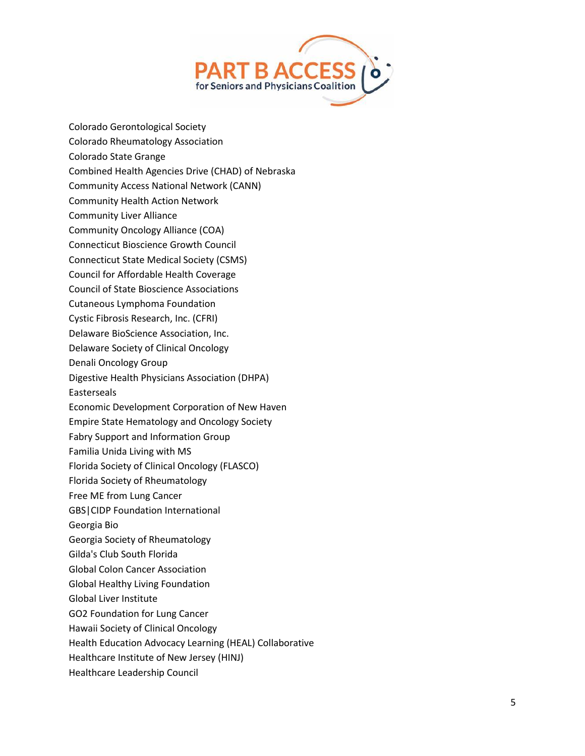

Colorado Gerontological Society Colorado Rheumatology Association Colorado State Grange Combined Health Agencies Drive (CHAD) of Nebraska Community Access National Network (CANN) Community Health Action Network Community Liver Alliance Community Oncology Alliance (COA) Connecticut Bioscience Growth Council Connecticut State Medical Society (CSMS) Council for Affordable Health Coverage Council of State Bioscience Associations Cutaneous Lymphoma Foundation Cystic Fibrosis Research, Inc. (CFRI) Delaware BioScience Association, Inc. Delaware Society of Clinical Oncology Denali Oncology Group Digestive Health Physicians Association (DHPA) Easterseals Economic Development Corporation of New Haven Empire State Hematology and Oncology Society Fabry Support and Information Group Familia Unida Living with MS Florida Society of Clinical Oncology (FLASCO) Florida Society of Rheumatology Free ME from Lung Cancer GBS|CIDP Foundation International Georgia Bio Georgia Society of Rheumatology Gilda's Club South Florida Global Colon Cancer Association Global Healthy Living Foundation Global Liver Institute GO2 Foundation for Lung Cancer Hawaii Society of Clinical Oncology Health Education Advocacy Learning (HEAL) Collaborative Healthcare Institute of New Jersey (HINJ) Healthcare Leadership Council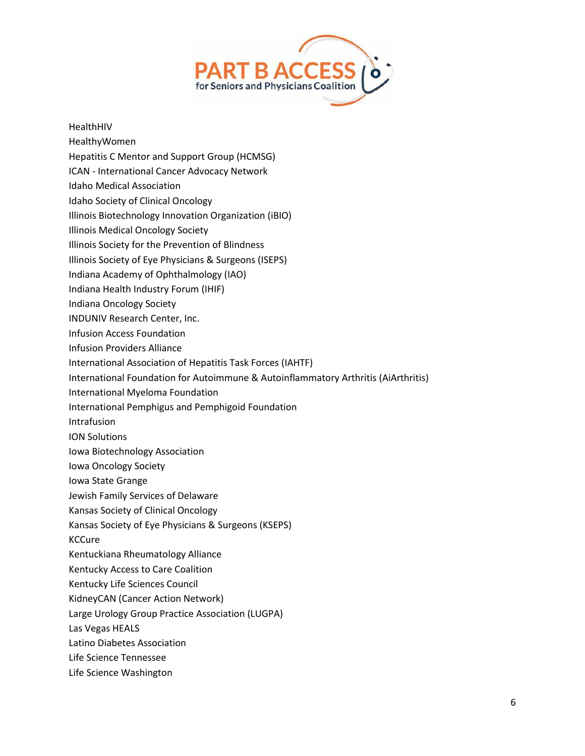

## HealthHIV

- HealthyWomen
- Hepatitis C Mentor and Support Group (HCMSG)
- ICAN International Cancer Advocacy Network
- Idaho Medical Association
- Idaho Society of Clinical Oncology
- Illinois Biotechnology Innovation Organization (iBIO)
- Illinois Medical Oncology Society
- Illinois Society for the Prevention of Blindness
- Illinois Society of Eye Physicians & Surgeons (ISEPS)
- Indiana Academy of Ophthalmology (IAO)
- Indiana Health Industry Forum (IHIF)
- Indiana Oncology Society
- INDUNIV Research Center, Inc.
- Infusion Access Foundation
- Infusion Providers Alliance
- International Association of Hepatitis Task Forces (IAHTF)
- International Foundation for Autoimmune & Autoinflammatory Arthritis (AiArthritis)
- International Myeloma Foundation
- International Pemphigus and Pemphigoid Foundation
- Intrafusion
- ION Solutions
- Iowa Biotechnology Association
- Iowa Oncology Society
- Iowa State Grange
- Jewish Family Services of Delaware
- Kansas Society of Clinical Oncology
- Kansas Society of Eye Physicians & Surgeons (KSEPS)
- KCCure
- Kentuckiana Rheumatology Alliance
- Kentucky Access to Care Coalition
- Kentucky Life Sciences Council
- KidneyCAN (Cancer Action Network)
- Large Urology Group Practice Association (LUGPA)
- Las Vegas HEALS
- Latino Diabetes Association
- Life Science Tennessee
- Life Science Washington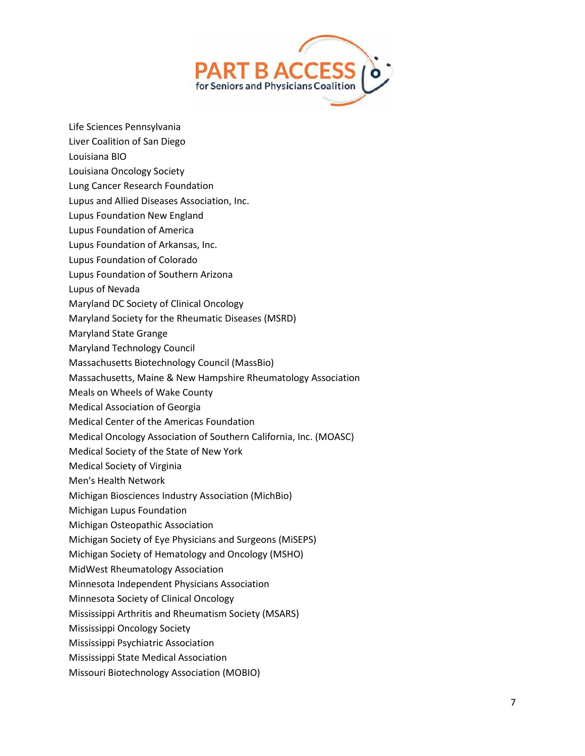

- Life Sciences Pennsylvania
- Liver Coalition of San Diego
- Louisiana BIO
- Louisiana Oncology Society
- Lung Cancer Research Foundation
- Lupus and Allied Diseases Association, Inc.
- Lupus Foundation New England
- Lupus Foundation of America
- Lupus Foundation of Arkansas, Inc.
- Lupus Foundation of Colorado
- Lupus Foundation of Southern Arizona
- Lupus of Nevada
- Maryland DC Society of Clinical Oncology
- Maryland Society for the Rheumatic Diseases (MSRD)
- Maryland State Grange
- Maryland Technology Council
- Massachusetts Biotechnology Council (MassBio)
- Massachusetts, Maine & New Hampshire Rheumatology Association
- Meals on Wheels of Wake County
- Medical Association of Georgia
- Medical Center of the Americas Foundation
- Medical Oncology Association of Southern California, Inc. (MOASC)
- Medical Society of the State of New York
- Medical Society of Virginia
- Men's Health Network
- Michigan Biosciences Industry Association (MichBio)
- Michigan Lupus Foundation
- Michigan Osteopathic Association
- Michigan Society of Eye Physicians and Surgeons (MiSEPS)
- Michigan Society of Hematology and Oncology (MSHO)
- MidWest Rheumatology Association
- Minnesota Independent Physicians Association
- Minnesota Society of Clinical Oncology
- Mississippi Arthritis and Rheumatism Society (MSARS)
- Mississippi Oncology Society
- Mississippi Psychiatric Association
- Mississippi State Medical Association
- Missouri Biotechnology Association (MOBIO)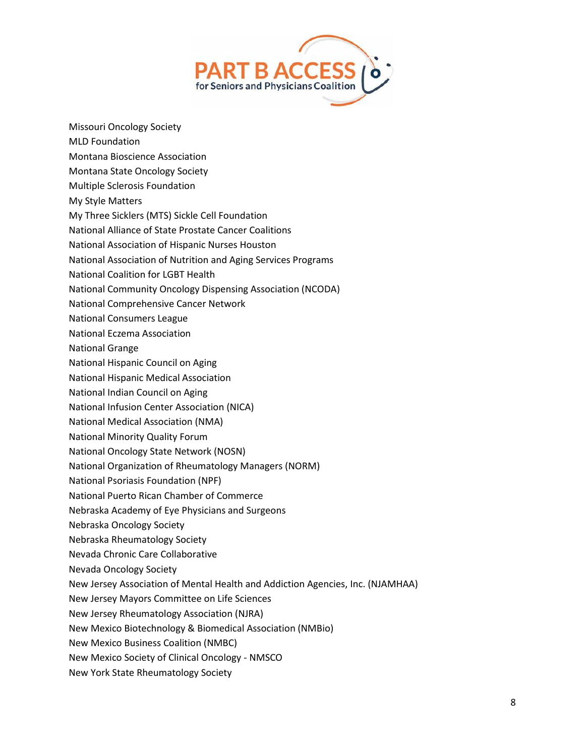

- Missouri Oncology Society
- MLD Foundation
- Montana Bioscience Association
- Montana State Oncology Society
- Multiple Sclerosis Foundation
- My Style Matters
- My Three Sicklers (MTS) Sickle Cell Foundation
- National Alliance of State Prostate Cancer Coalitions
- National Association of Hispanic Nurses Houston
- National Association of Nutrition and Aging Services Programs
- National Coalition for LGBT Health
- National Community Oncology Dispensing Association (NCODA)
- National Comprehensive Cancer Network
- National Consumers League
- National Eczema Association
- National Grange
- National Hispanic Council on Aging
- National Hispanic Medical Association
- National Indian Council on Aging
- National Infusion Center Association (NICA)
- National Medical Association (NMA)
- National Minority Quality Forum
- National Oncology State Network (NOSN)
- National Organization of Rheumatology Managers (NORM)
- National Psoriasis Foundation (NPF)
- National Puerto Rican Chamber of Commerce
- Nebraska Academy of Eye Physicians and Surgeons
- Nebraska Oncology Society
- Nebraska Rheumatology Society
- Nevada Chronic Care Collaborative
- Nevada Oncology Society
- New Jersey Association of Mental Health and Addiction Agencies, Inc. (NJAMHAA)
- New Jersey Mayors Committee on Life Sciences
- New Jersey Rheumatology Association (NJRA)
- New Mexico Biotechnology & Biomedical Association (NMBio)
- New Mexico Business Coalition (NMBC)
- New Mexico Society of Clinical Oncology NMSCO
- New York State Rheumatology Society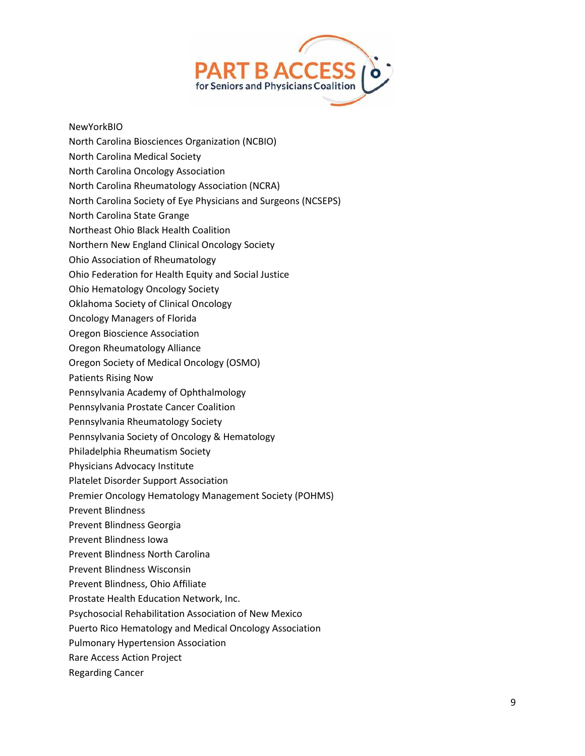

## NewYorkBIO

- North Carolina Biosciences Organization (NCBIO)
- North Carolina Medical Society
- North Carolina Oncology Association
- North Carolina Rheumatology Association (NCRA)
- North Carolina Society of Eye Physicians and Surgeons (NCSEPS)
- North Carolina State Grange
- Northeast Ohio Black Health Coalition
- Northern New England Clinical Oncology Society
- Ohio Association of Rheumatology
- Ohio Federation for Health Equity and Social Justice
- Ohio Hematology Oncology Society
- Oklahoma Society of Clinical Oncology
- Oncology Managers of Florida
- Oregon Bioscience Association
- Oregon Rheumatology Alliance
- Oregon Society of Medical Oncology (OSMO)
- Patients Rising Now
- Pennsylvania Academy of Ophthalmology
- Pennsylvania Prostate Cancer Coalition
- Pennsylvania Rheumatology Society
- Pennsylvania Society of Oncology & Hematology
- Philadelphia Rheumatism Society
- Physicians Advocacy Institute
- Platelet Disorder Support Association
- Premier Oncology Hematology Management Society (POHMS)
- Prevent Blindness
- Prevent Blindness Georgia
- Prevent Blindness Iowa
- Prevent Blindness North Carolina
- Prevent Blindness Wisconsin
- Prevent Blindness, Ohio Affiliate
- Prostate Health Education Network, Inc.
- Psychosocial Rehabilitation Association of New Mexico
- Puerto Rico Hematology and Medical Oncology Association
- Pulmonary Hypertension Association
- Rare Access Action Project
- Regarding Cancer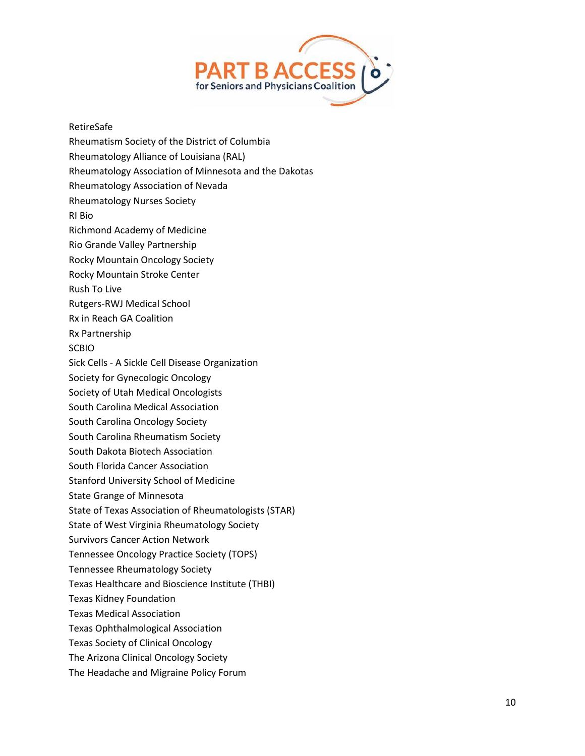

## RetireSafe

Rheumatism Society of the District of Columbia Rheumatology Alliance of Louisiana (RAL) Rheumatology Association of Minnesota and the Dakotas Rheumatology Association of Nevada Rheumatology Nurses Society RI Bio Richmond Academy of Medicine Rio Grande Valley Partnership Rocky Mountain Oncology Society Rocky Mountain Stroke Center Rush To Live Rutgers-RWJ Medical School Rx in Reach GA Coalition Rx Partnership SCBIO Sick Cells - A Sickle Cell Disease Organization Society for Gynecologic Oncology Society of Utah Medical Oncologists South Carolina Medical Association South Carolina Oncology Society South Carolina Rheumatism Society South Dakota Biotech Association South Florida Cancer Association Stanford University School of Medicine State Grange of Minnesota State of Texas Association of Rheumatologists (STAR) State of West Virginia Rheumatology Society Survivors Cancer Action Network Tennessee Oncology Practice Society (TOPS) Tennessee Rheumatology Society Texas Healthcare and Bioscience Institute (THBI) Texas Kidney Foundation Texas Medical Association Texas Ophthalmological Association Texas Society of Clinical Oncology The Arizona Clinical Oncology Society The Headache and Migraine Policy Forum